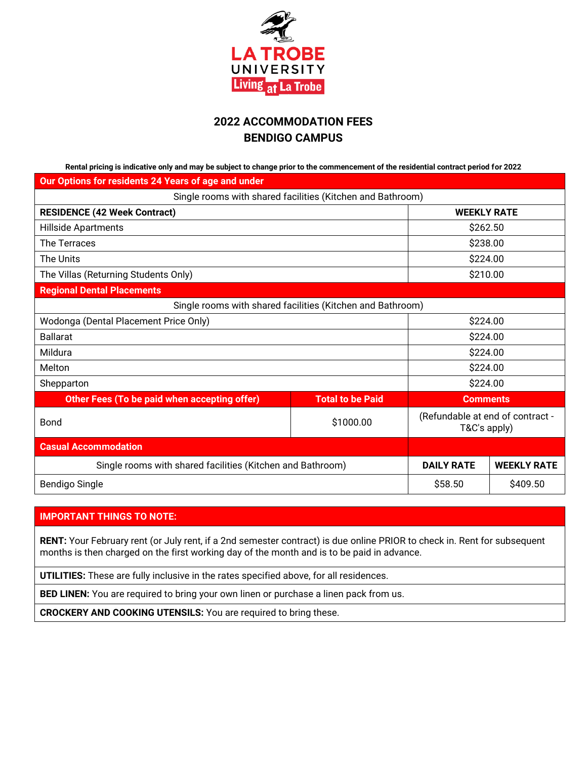

# **2022 ACCOMMODATION FEES BENDIGO CAMPUS**

**Rental pricing is indicative only and may be subject to change prior to the commencement of the residential contract period for 2022**

| Our Options for residents 24 Years of age and under        |                                                            |                                                  |                    |
|------------------------------------------------------------|------------------------------------------------------------|--------------------------------------------------|--------------------|
|                                                            | Single rooms with shared facilities (Kitchen and Bathroom) |                                                  |                    |
| <b>RESIDENCE (42 Week Contract)</b>                        |                                                            | <b>WEEKLY RATE</b>                               |                    |
| Hillside Apartments                                        |                                                            | \$262.50                                         |                    |
| The Terraces                                               |                                                            | \$238.00                                         |                    |
| The Units                                                  |                                                            | \$224.00                                         |                    |
| The Villas (Returning Students Only)                       |                                                            | \$210.00                                         |                    |
| <b>Regional Dental Placements</b>                          |                                                            |                                                  |                    |
|                                                            | Single rooms with shared facilities (Kitchen and Bathroom) |                                                  |                    |
| Wodonga (Dental Placement Price Only)                      |                                                            | \$224.00                                         |                    |
| <b>Ballarat</b>                                            |                                                            | \$224.00                                         |                    |
| Mildura                                                    |                                                            | \$224.00                                         |                    |
| Melton                                                     |                                                            | \$224.00                                         |                    |
| Shepparton                                                 |                                                            | \$224.00                                         |                    |
| Other Fees (To be paid when accepting offer)               | <b>Total to be Paid</b>                                    | <b>Comments</b>                                  |                    |
| <b>Bond</b>                                                | \$1000.00                                                  | (Refundable at end of contract -<br>T&C's apply) |                    |
| <b>Casual Accommodation</b>                                |                                                            |                                                  |                    |
| Single rooms with shared facilities (Kitchen and Bathroom) |                                                            | <b>DAILY RATE</b>                                | <b>WEEKLY RATE</b> |
| <b>Bendigo Single</b>                                      |                                                            | \$58.50                                          | \$409.50           |

# **IMPORTANT THINGS TO NOTE:**

**RENT:** Your February rent (or July rent, if a 2nd semester contract) is due online PRIOR to check in. Rent for subsequent months is then charged on the first working day of the month and is to be paid in advance.

**UTILITIES:** These are fully inclusive in the rates specified above, for all residences.

**BED LINEN:** You are required to bring your own linen or purchase a linen pack from us.

**CROCKERY AND COOKING UTENSILS:** You are required to bring these.